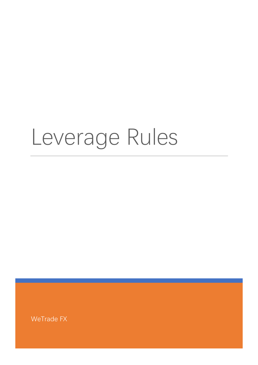## Leverage Rules

WeTrade FX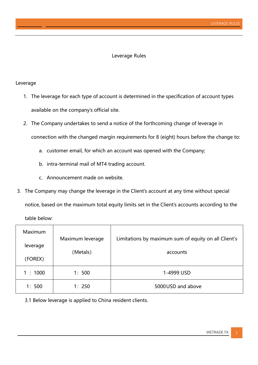## Leverage Rules

## Leverage

- 1. The leverage for each type of account is determined in the specification of account types available on the company's official site.
- 2. The Company undertakes to send a notice of the forthcoming change of leverage in connection with the changed margin requirements for 8 (eight) hours before the change to:
	- a. customer email, for which an account was opened with the Company;
	- b. intra-terminal mail of MT4 trading account.
	- c. Announcement made on website.
- 3. The Company may change the leverage in the Client's account at any time without special notice, based on the maximum total equity limits set in the Client's accounts according to the table below:

| <b>Maximum</b> |                  |                                                      |
|----------------|------------------|------------------------------------------------------|
| leverage       | Maximum leverage | Limitations by maximum sum of equity on all Client's |
| (FOREX)        | (Metals)         | accounts                                             |
| 1:1000         | 1:500            | 1-4999 USD                                           |
| 1:500          | 1:250            | 5000 USD and above                                   |

3.1 Below leverage is applied to China resident clients.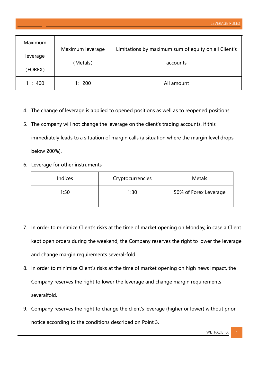| Maximum  | Maximum leverage | Limitations by maximum sum of equity on all Client's |
|----------|------------------|------------------------------------------------------|
| leverage | (Metals)         | accounts                                             |
| (FOREX)  |                  |                                                      |
| 1:400    | 1:200            | All amount                                           |

- 4. The change of leverage is applied to opened positions as well as to reopened positions.
- 5. The company will not change the leverage on the client's trading accounts, if this immediately leads to a situation of margin calls (a situation where the margin level drops below 200%).
- 6. Leverage for other instruments

| Indices | Cryptocurrencies | <b>Metals</b>         |
|---------|------------------|-----------------------|
| 1:50    | 1:30             | 50% of Forex Leverage |

- 7. In order to minimize Client's risks at the time of market opening on Monday, in case a Client kept open orders during the weekend, the Company reserves the right to lower the leverage and change margin requirements several-fold.
- 8. In order to minimize Client's risks at the time of market opening on high news impact, the Company reserves the right to lower the leverage and change margin requirements severalfold.
- 9. Company reserves the right to change the client's leverage (higher or lower) without prior notice according to the conditions described on Point 3.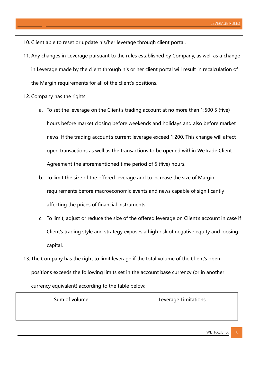10. Client able to reset or update his/her leverage through client portal.

- 11. Any changes in Leverage pursuant to the rules established by Company, as well as a change in Leverage made by the client through his or her client portal will result in recalculation of the Margin requirements for all of the client's positions.
- 12. Company has the rights:
	- a. To set the leverage on the Client's trading account at no more than 1:500 5 (five) hours before market closing before weekends and holidays and also before market news. If the trading account's current leverage exceed 1:200. This change will affect open transactions as well as the transactions to be opened within WeTrade Client Agreement the aforementioned time period of 5 (five) hours.
	- b. To limit the size of the offered leverage and to increase the size of Margin requirements before macroeconomic events and news capable of significantly affecting the prices of financial instruments.
	- c. To limit, adjust or reduce the size of the offered leverage on Client's account in case if Client's trading style and strategy exposes a high risk of negative equity and loosing capital.
- 13. The Company has the right to limit leverage if the total volume of the Сlient's open positions exceeds the following limits set in the account base currency (or in another currency equivalent) according to the table below:

| Sum of volume | Leverage Limitations |
|---------------|----------------------|
|               |                      |